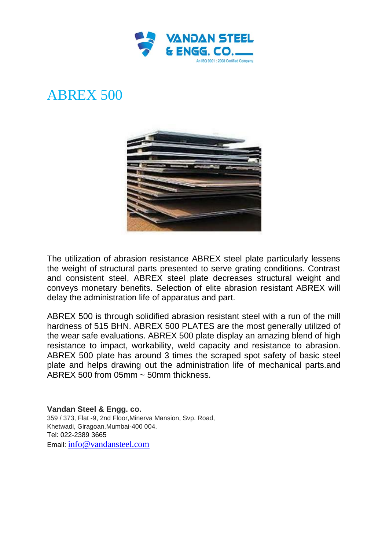

## ABREX 500



The utilization of abrasion resistance ABREX steel plate particularly lessens the weight of structural parts presented to serve grating conditions. Contrast and consistent steel, ABREX steel plate decreases structural weight and conveys monetary benefits. Selection of elite abrasion resistant ABREX will delay the administration life of apparatus and part.

ABREX 500 is through solidified abrasion resistant steel with a run of the mill hardness of 515 BHN. ABREX 500 PLATES are the most generally utilized of the wear safe evaluations. ABREX 500 plate display an amazing blend of high resistance to impact, workability, weld capacity and resistance to abrasion. ABREX 500 plate has around 3 times the scraped spot safety of basic steel plate and helps drawing out the administration life of mechanical parts.and ABREX 500 from 05mm ~ 50mm thickness.

**Vandan Steel & Engg. co.** 359 / 373, Flat -9, 2nd Floor,Minerva Mansion, Svp. Road, Khetwadi, Giragoan,Mumbai-400 004. Tel: 022-2389 3665 Email: [info@vandansteel.com](mailto:info@vandansteel.com)